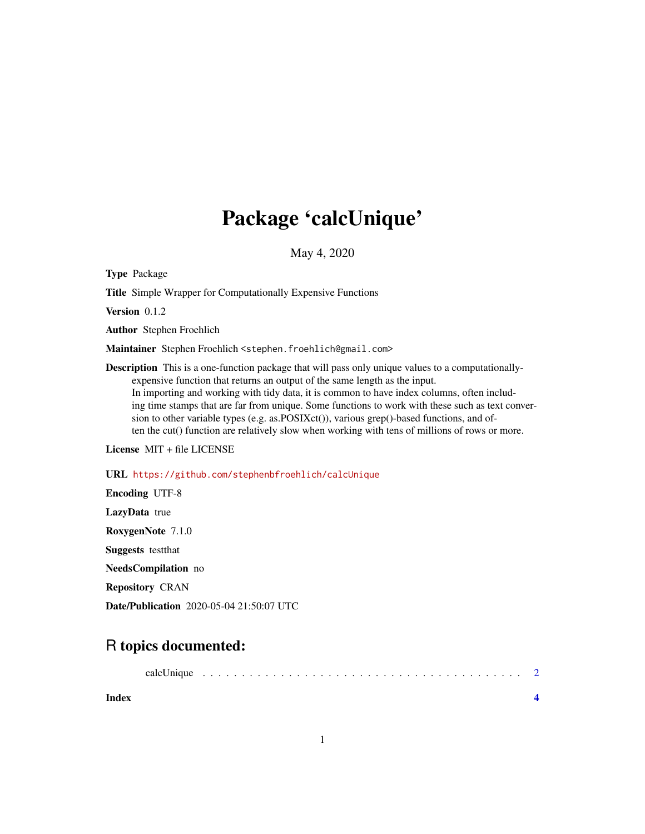## Package 'calcUnique'

May 4, 2020

Type Package

Title Simple Wrapper for Computationally Expensive Functions

Version 0.1.2

Author Stephen Froehlich

Maintainer Stephen Froehlich <stephen.froehlich@gmail.com>

Description This is a one-function package that will pass only unique values to a computationallyexpensive function that returns an output of the same length as the input. In importing and working with tidy data, it is common to have index columns, often including time stamps that are far from unique. Some functions to work with these such as text conversion to other variable types (e.g. as.POSIXct()), various grep()-based functions, and often the cut() function are relatively slow when working with tens of millions of rows or more.

License MIT + file LICENSE

URL <https://github.com/stephenbfroehlich/calcUnique>

Encoding UTF-8 LazyData true RoxygenNote 7.1.0 Suggests testthat NeedsCompilation no Repository CRAN Date/Publication 2020-05-04 21:50:07 UTC

### R topics documented:

| calcUnique |  |  |  |  |  |  |  |
|------------|--|--|--|--|--|--|--|
|------------|--|--|--|--|--|--|--|

**Index** [4](#page-3-0)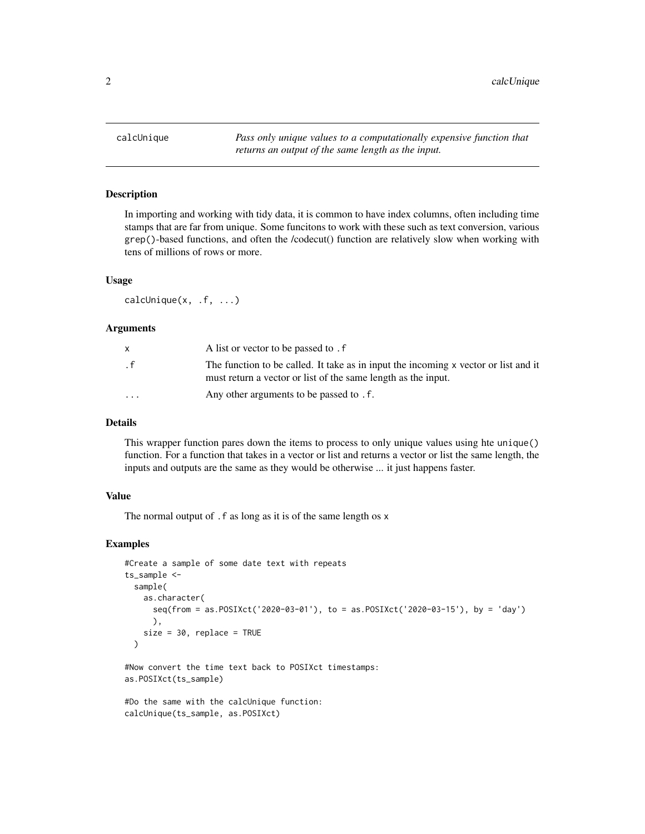<span id="page-1-0"></span>calcUnique *Pass only unique values to a computationally expensive function that returns an output of the same length as the input.*

#### Description

In importing and working with tidy data, it is common to have index columns, often including time stamps that are far from unique. Some funcitons to work with these such as text conversion, various grep()-based functions, and often the /codecut() function are relatively slow when working with tens of millions of rows or more.

#### Usage

calcUnique(x, .f, ...)

#### Arguments

|                         | A list or vector to be passed to . f                                                                                                                 |
|-------------------------|------------------------------------------------------------------------------------------------------------------------------------------------------|
| . f                     | The function to be called. It take as in input the incoming x vector or list and it<br>must return a vector or list of the same length as the input. |
| $\cdot$ $\cdot$ $\cdot$ | Any other arguments to be passed to . f.                                                                                                             |

#### Details

This wrapper function pares down the items to process to only unique values using hte unique() function. For a function that takes in a vector or list and returns a vector or list the same length, the inputs and outputs are the same as they would be otherwise ... it just happens faster.

#### Value

The normal output of .f as long as it is of the same length os x

#### Examples

```
#Create a sample of some date text with repeats
ts_sample <-
 sample(
    as.character(
      seq(from = as.POSIXct('2020-03-01'), to = as.POSIXct('2020-03-15'), by = 'day')
      ),
    size = 30, replace = TRUE
 \lambda#Now convert the time text back to POSIXct timestamps:
as.POSIXct(ts_sample)
```

```
#Do the same with the calcUnique function:
calcUnique(ts_sample, as.POSIXct)
```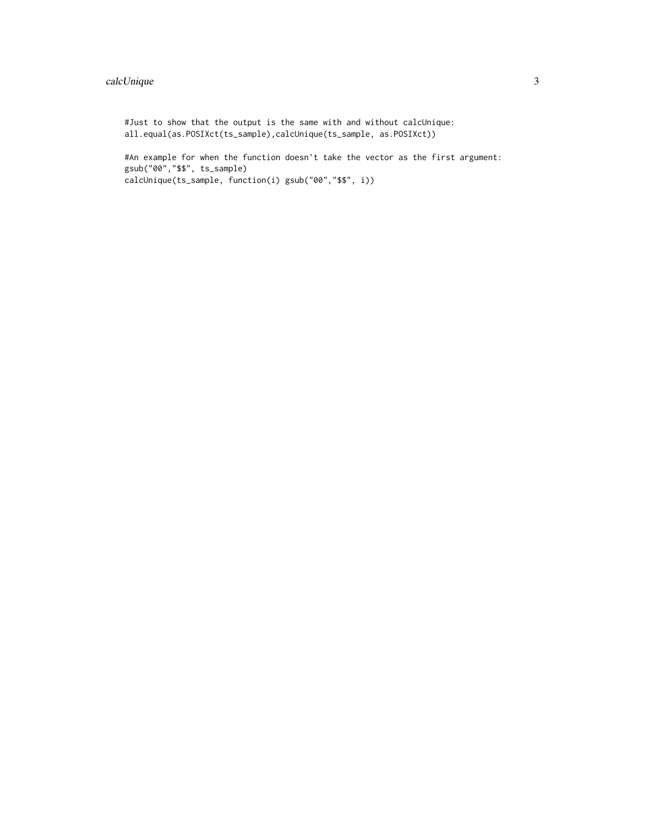#### calcUnique 3

```
#Just to show that the output is the same with and without calcUnique:
all.equal(as.POSIXct(ts_sample),calcUnique(ts_sample, as.POSIXct))
#An example for when the function doesn't take the vector as the first argument:
gsub("00","$$", ts_sample)
calcUnique(ts_sample, function(i) gsub("00","$$", i))
```